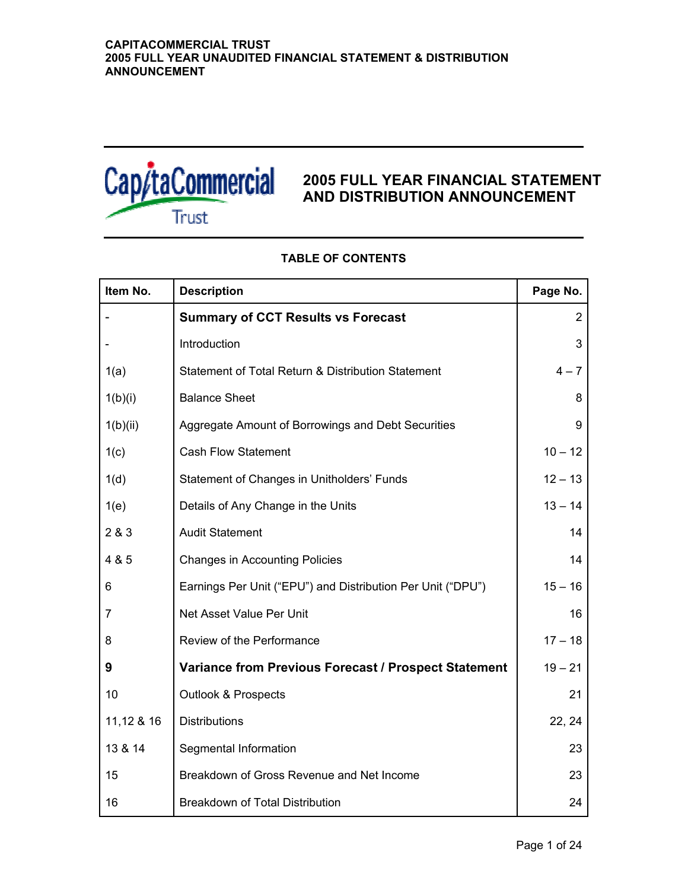

# **2005 FULL YEAR FINANCIAL STATEMENT AND DISTRIBUTION ANNOUNCEMENT**

| Item No.   | <b>Description</b>                                          | Page No.       |
|------------|-------------------------------------------------------------|----------------|
|            | <b>Summary of CCT Results vs Forecast</b>                   | $\overline{2}$ |
|            | Introduction                                                | 3              |
| 1(a)       | Statement of Total Return & Distribution Statement          | $4 - 7$        |
| 1(b)(i)    | <b>Balance Sheet</b>                                        | 8              |
| 1(b)(ii)   | Aggregate Amount of Borrowings and Debt Securities          | 9              |
| 1(c)       | <b>Cash Flow Statement</b>                                  | $10 - 12$      |
| 1(d)       | Statement of Changes in Unitholders' Funds                  | $12 - 13$      |
| 1(e)       | Details of Any Change in the Units                          | $13 - 14$      |
| 2 & 3      | <b>Audit Statement</b>                                      | 14             |
| 4 & 5      | <b>Changes in Accounting Policies</b>                       | 14             |
| 6          | Earnings Per Unit ("EPU") and Distribution Per Unit ("DPU") | $15 - 16$      |
| 7          | Net Asset Value Per Unit                                    | 16             |
| 8          | Review of the Performance                                   | $17 - 18$      |
| 9          | <b>Variance from Previous Forecast / Prospect Statement</b> | $19 - 21$      |
| 10         | <b>Outlook &amp; Prospects</b>                              | 21             |
| 11,12 & 16 | <b>Distributions</b>                                        | 22, 24         |
| 13 & 14    | Segmental Information                                       | 23             |
| 15         | Breakdown of Gross Revenue and Net Income                   | 23             |
| 16         | <b>Breakdown of Total Distribution</b>                      | 24             |

# **TABLE OF CONTENTS**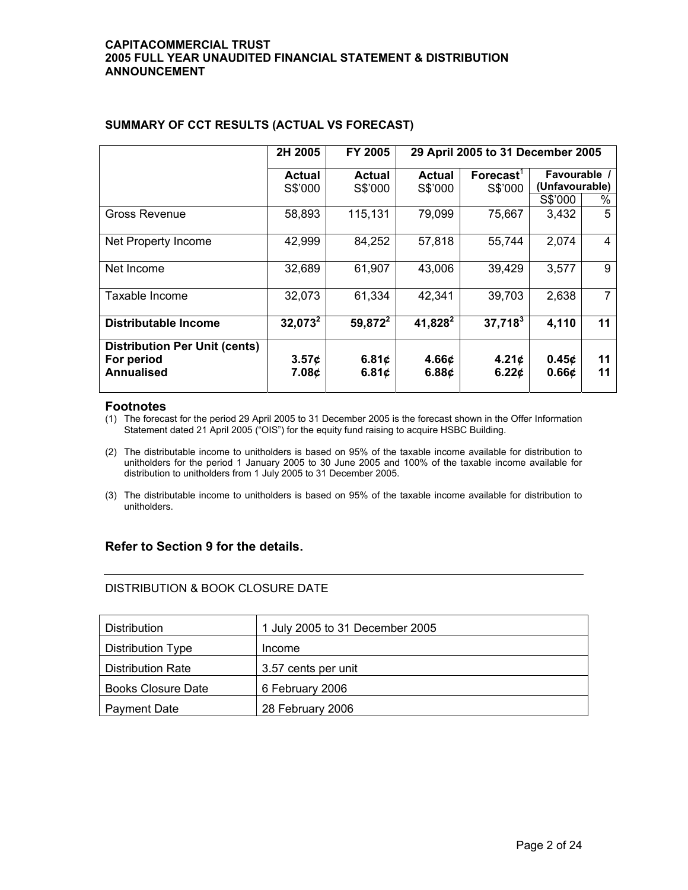|                                      | 2H 2005           | FY 2005       | 29 April 2005 to 31 December 2005 |                                  |                   |    |
|--------------------------------------|-------------------|---------------|-----------------------------------|----------------------------------|-------------------|----|
|                                      | <b>Actual</b>     | <b>Actual</b> | Actual                            | $\mathsf{Forecast}^{\mathsf{T}}$ | Favourable /      |    |
|                                      | S\$'000           | S\$'000       | S\$'000                           | S\$'000                          | (Unfavourable)    |    |
|                                      |                   |               |                                   |                                  | S\$'000           | %  |
| Gross Revenue                        | 58,893            | 115,131       | 79,099                            | 75,667                           | 3,432             | 5  |
| Net Property Income                  | 42,999            | 84,252        | 57,818                            | 55,744                           | 2,074             | 4  |
| Net Income                           | 32,689            | 61,907        | 43,006                            | 39,429                           | 3,577             | 9  |
| Taxable Income                       | 32,073            | 61,334        | 42,341                            | 39,703                           | 2,638             | 7  |
| <b>Distributable Income</b>          | $32,073^2$        | $59,872^2$    | $41,828^2$                        | $37,718^3$                       | 4,110             | 11 |
| <b>Distribution Per Unit (cents)</b> |                   |               |                                   |                                  |                   |    |
| For period                           | 3.57 <sub>¢</sub> | 6.81 $\phi$   | 4.66 <sub>¢</sub>                 | 4.21 <sub>¢</sub>                | 0.45 <sub>c</sub> | 11 |
| <b>Annualised</b>                    | 7.08¢             | 6.81 $\phi$   | 6.88 $\phi$                       | 6.22c                            | 0.66 <sub>c</sub> | 11 |

# **SUMMARY OF CCT RESULTS (ACTUAL VS FORECAST)**

## **Footnotes**

(1) The forecast for the period 29 April 2005 to 31 December 2005 is the forecast shown in the Offer Information Statement dated 21 April 2005 ("OIS") for the equity fund raising to acquire HSBC Building.

- (2) The distributable income to unitholders is based on 95% of the taxable income available for distribution to unitholders for the period 1 January 2005 to 30 June 2005 and 100% of the taxable income available for distribution to unitholders from 1 July 2005 to 31 December 2005.
- (3) The distributable income to unitholders is based on 95% of the taxable income available for distribution to unitholders.

# **Refer to Section 9 for the details.**

# DISTRIBUTION & BOOK CLOSURE DATE

| <b>Distribution</b>       | 1 July 2005 to 31 December 2005 |
|---------------------------|---------------------------------|
| Distribution Type         | Income                          |
| <b>Distribution Rate</b>  | 3.57 cents per unit             |
| <b>Books Closure Date</b> | 6 February 2006                 |
| Payment Date              | 28 February 2006                |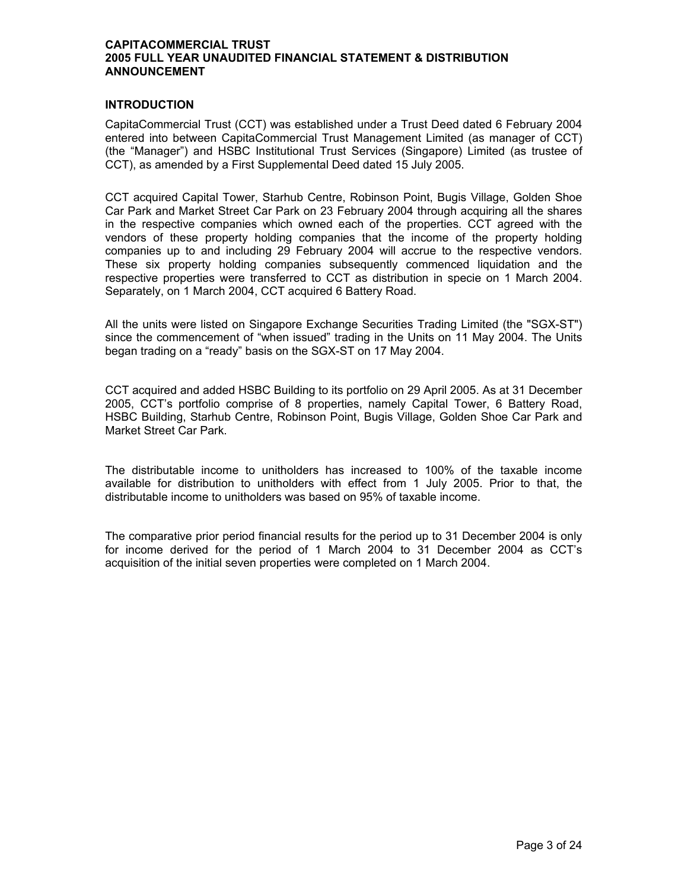## **INTRODUCTION**

CapitaCommercial Trust (CCT) was established under a Trust Deed dated 6 February 2004 entered into between CapitaCommercial Trust Management Limited (as manager of CCT) (the "Manager") and HSBC Institutional Trust Services (Singapore) Limited (as trustee of CCT), as amended by a First Supplemental Deed dated 15 July 2005.

CCT acquired Capital Tower, Starhub Centre, Robinson Point, Bugis Village, Golden Shoe Car Park and Market Street Car Park on 23 February 2004 through acquiring all the shares in the respective companies which owned each of the properties. CCT agreed with the vendors of these property holding companies that the income of the property holding companies up to and including 29 February 2004 will accrue to the respective vendors. These six property holding companies subsequently commenced liquidation and the respective properties were transferred to CCT as distribution in specie on 1 March 2004. Separately, on 1 March 2004, CCT acquired 6 Battery Road.

All the units were listed on Singapore Exchange Securities Trading Limited (the "SGX-ST") since the commencement of "when issued" trading in the Units on 11 May 2004. The Units began trading on a "ready" basis on the SGX-ST on 17 May 2004.

CCT acquired and added HSBC Building to its portfolio on 29 April 2005. As at 31 December 2005, CCT's portfolio comprise of 8 properties, namely Capital Tower, 6 Battery Road, HSBC Building, Starhub Centre, Robinson Point, Bugis Village, Golden Shoe Car Park and Market Street Car Park.

The distributable income to unitholders has increased to 100% of the taxable income available for distribution to unitholders with effect from 1 July 2005. Prior to that, the distributable income to unitholders was based on 95% of taxable income.

The comparative prior period financial results for the period up to 31 December 2004 is only for income derived for the period of 1 March 2004 to 31 December 2004 as CCT's acquisition of the initial seven properties were completed on 1 March 2004.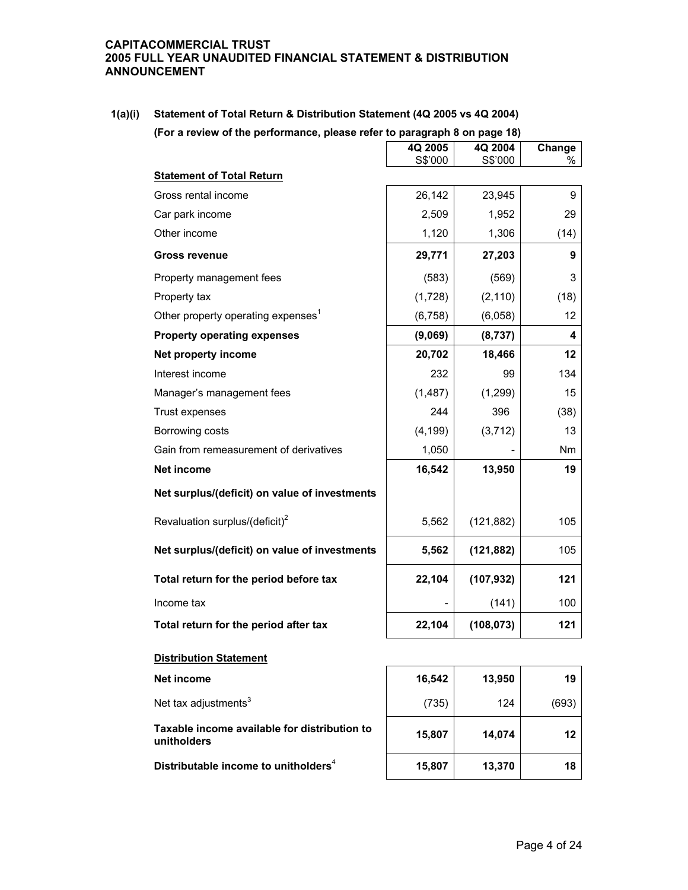| 1(a)(i) | Statement of Total Return & Distribution Statement (4Q 2005 vs 4Q 2004)   |
|---------|---------------------------------------------------------------------------|
|         | (For a review of the performance, please refer to paragraph 8 on page 18) |

|                                                             | 4Q 2005  | 4Q 2004    | Change    |
|-------------------------------------------------------------|----------|------------|-----------|
|                                                             | S\$'000  | S\$'000    | ℅         |
| <b>Statement of Total Return</b>                            |          |            |           |
| Gross rental income                                         | 26,142   | 23,945     | 9         |
| Car park income                                             | 2,509    | 1,952      | 29        |
| Other income                                                | 1,120    | 1,306      | (14)      |
| <b>Gross revenue</b>                                        | 29,771   | 27,203     | 9         |
| Property management fees                                    | (583)    | (569)      | 3         |
| Property tax                                                | (1,728)  | (2, 110)   | (18)      |
| Other property operating expenses <sup>1</sup>              | (6, 758) | (6,058)    | 12        |
| <b>Property operating expenses</b>                          | (9,069)  | (8,737)    | 4         |
| Net property income                                         | 20,702   | 18,466     | 12        |
| Interest income                                             | 232      | 99         | 134       |
| Manager's management fees                                   | (1, 487) | (1, 299)   | 15        |
| Trust expenses                                              | 244      | 396        | (38)      |
| Borrowing costs                                             | (4, 199) | (3, 712)   | 13        |
| Gain from remeasurement of derivatives                      | 1,050    |            | <b>Nm</b> |
| <b>Net income</b>                                           | 16,542   | 13,950     | 19        |
| Net surplus/(deficit) on value of investments               |          |            |           |
| Revaluation surplus/(deficit) <sup>2</sup>                  | 5,562    | (121, 882) | 105       |
| Net surplus/(deficit) on value of investments               | 5,562    | (121, 882) | 105       |
| Total return for the period before tax                      | 22,104   | (107, 932) | 121       |
| Income tax                                                  |          | (141)      | 100       |
| Total return for the period after tax                       | 22,104   | (108, 073) | 121       |
| <b>Distribution Statement</b>                               |          |            |           |
| Net income                                                  | 16,542   | 13,950     | 19        |
| Net tax adjustments <sup>3</sup>                            | (735)    | 124        | (693)     |
| Taxable income available for distribution to<br>unitholders | 15,807   | 14,074     | 12        |

**Distributable income to unitholders**<sup>4</sup> **15,807** 13,370 **18**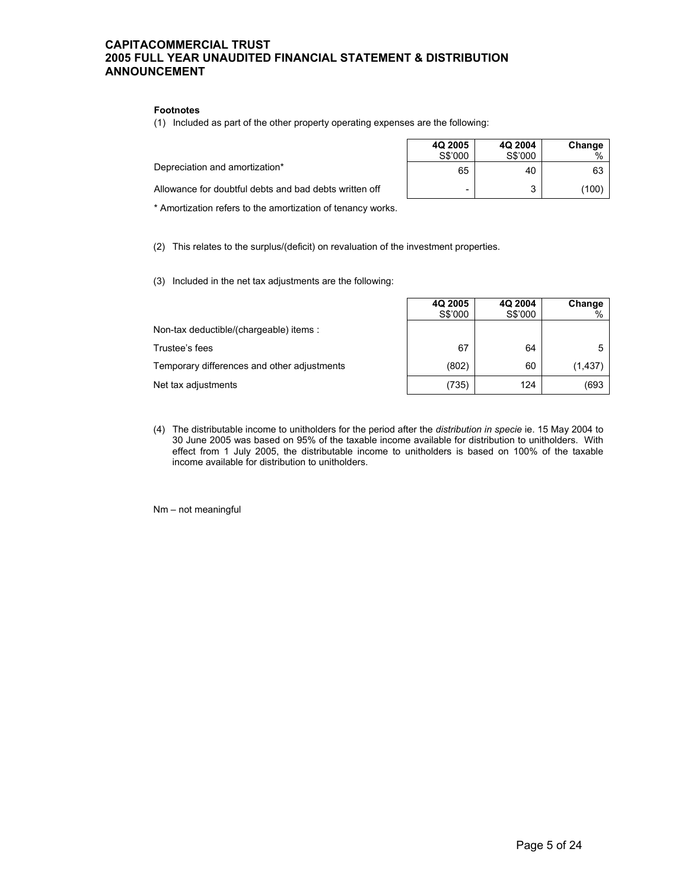#### **Footnotes**

(1) Included as part of the other property operating expenses are the following:

|                                                        | 4Q 2005<br>S\$'000 | 4Q 2004<br>S\$'000 | Change<br>$\%$ |
|--------------------------------------------------------|--------------------|--------------------|----------------|
| Depreciation and amortization*                         | 65                 | 40                 | 63             |
| Allowance for doubtful debts and bad debts written off | -                  | ີ<br>w             | (100           |
|                                                        |                    |                    |                |

 $\Box$ 

\* Amortization refers to the amortization of tenancy works.

(2) This relates to the surplus/(deficit) on revaluation of the investment properties.

(3) Included in the net tax adjustments are the following:

|                                             | S\$'000 | S\$'000 | . .<br>% |
|---------------------------------------------|---------|---------|----------|
| Non-tax deductible/(chargeable) items :     |         |         |          |
| Trustee's fees                              | 67      | 64      |          |
| Temporary differences and other adjustments | (802)   | 60      | (1, 437) |
| Net tax adjustments                         | (735)   | 124     | (693     |

Г

**4Q 2005**

**4Q 2004**

**Change** 

(4) The distributable income to unitholders for the period after the *distribution in specie* ie. 15 May 2004 to 30 June 2005 was based on 95% of the taxable income available for distribution to unitholders. With effect from 1 July 2005, the distributable income to unitholders is based on 100% of the taxable income available for distribution to unitholders.

Nm – not meaningful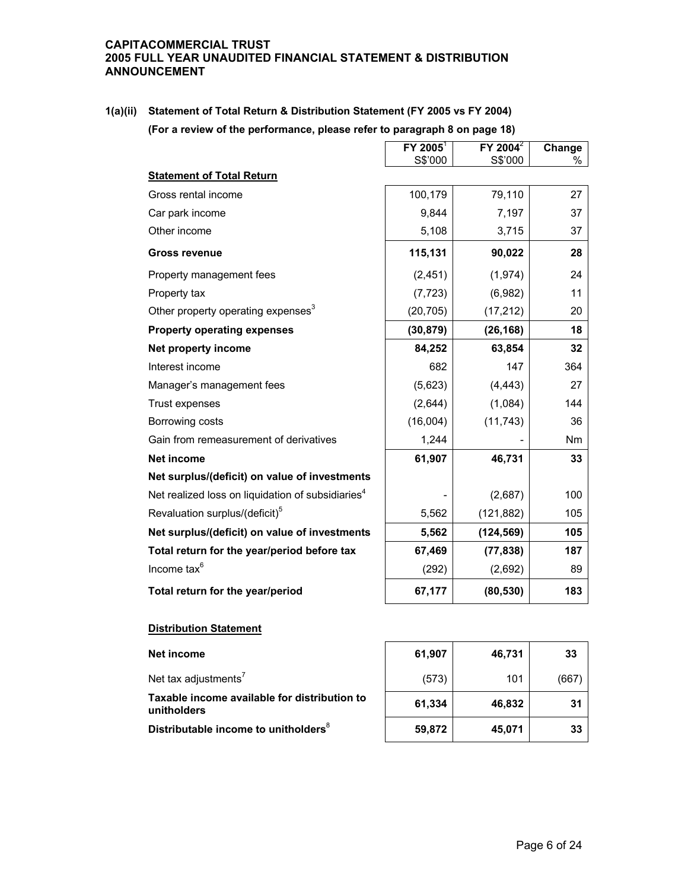**1(a)(ii) Statement of Total Return & Distribution Statement (FY 2005 vs FY 2004)** 

**(For a review of the performance, please refer to paragraph 8 on page 18)** 

|                                                               | $FY$ 2005 <sup>1</sup> | $FY$ 2004 $^2$ | Change |
|---------------------------------------------------------------|------------------------|----------------|--------|
| <b>Statement of Total Return</b>                              | S\$'000                | S\$'000        | %      |
| Gross rental income                                           | 100,179                | 79,110         | 27     |
| Car park income                                               | 9,844                  | 7,197          | 37     |
| Other income                                                  | 5,108                  | 3,715          | 37     |
| <b>Gross revenue</b>                                          | 115,131                | 90,022         | 28     |
| Property management fees                                      | (2, 451)               | (1, 974)       | 24     |
| Property tax                                                  | (7, 723)               | (6,982)        | 11     |
| Other property operating expenses <sup>3</sup>                | (20, 705)              | (17, 212)      | 20     |
| <b>Property operating expenses</b>                            | (30, 879)              | (26, 168)      | 18     |
| Net property income                                           | 84,252                 | 63,854         | 32     |
| Interest income                                               | 682                    | 147            | 364    |
| Manager's management fees                                     | (5,623)                | (4, 443)       | 27     |
| Trust expenses                                                | (2,644)                | (1,084)        | 144    |
| Borrowing costs                                               | (16,004)               | (11, 743)      | 36     |
| Gain from remeasurement of derivatives                        | 1,244                  |                | Nm     |
| <b>Net income</b>                                             | 61,907                 | 46,731         | 33     |
| Net surplus/(deficit) on value of investments                 |                        |                |        |
| Net realized loss on liquidation of subsidiaries <sup>4</sup> |                        | (2,687)        | 100    |
| Revaluation surplus/(deficit) <sup>5</sup>                    | 5,562                  | (121, 882)     | 105    |
| Net surplus/(deficit) on value of investments                 | 5,562                  | (124, 569)     | 105    |
| Total return for the year/period before tax                   | 67,469                 | (77, 838)      | 187    |
| Income tax <sup>6</sup>                                       | (292)                  | (2,692)        | 89     |
| Total return for the year/period                              | 67,177                 | (80, 530)      | 183    |

## **Distribution Statement**

| Net income                                                  | 61,907 | 46,731 | 33   |
|-------------------------------------------------------------|--------|--------|------|
| Net tax adjustments <sup>7</sup>                            | (573)  | 101    | (667 |
| Taxable income available for distribution to<br>unitholders | 61,334 | 46,832 | 31   |
| Distributable income to unitholders <sup>8</sup>            | 59,872 | 45.071 | 33   |

**The Common** 

 $\overline{\phantom{0}}$ 

 $\overline{\phantom{0}}$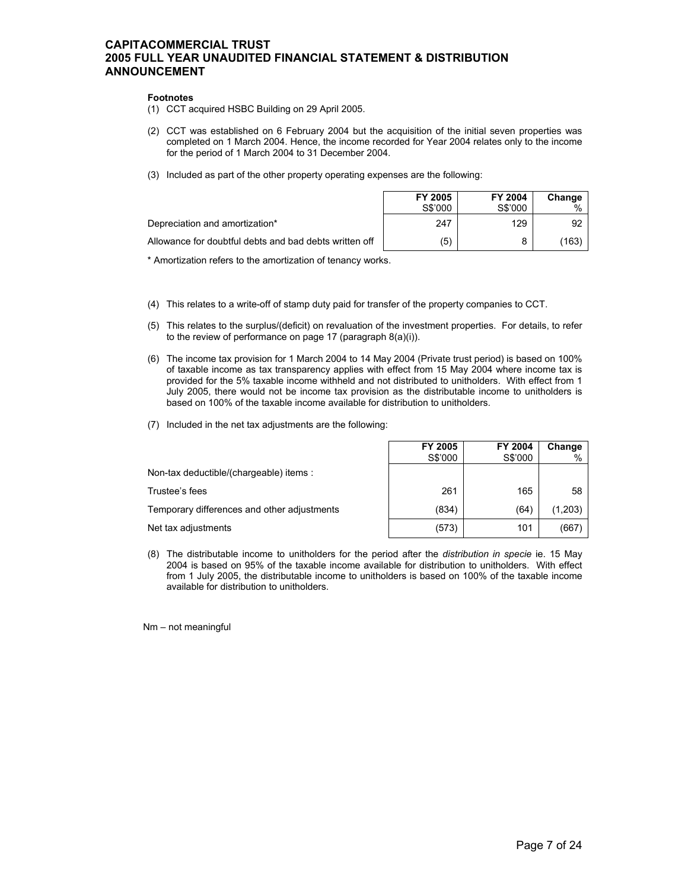#### **Footnotes**

- (1) CCT acquired HSBC Building on 29 April 2005.
- (2) CCT was established on 6 February 2004 but the acquisition of the initial seven properties was completed on 1 March 2004. Hence, the income recorded for Year 2004 relates only to the income for the period of 1 March 2004 to 31 December 2004.
- (3) Included as part of the other property operating expenses are the following:

|                                                        | FY 2005 | FY 2004 | Change |
|--------------------------------------------------------|---------|---------|--------|
|                                                        | S\$'000 | S\$'000 | $\%$   |
| Depreciation and amortization*                         | 247     | 129     | 92     |
| Allowance for doubtful debts and bad debts written off | (5)     | 8       | (163)  |

\* Amortization refers to the amortization of tenancy works.

- (4) This relates to a write-off of stamp duty paid for transfer of the property companies to CCT.
- (5) This relates to the surplus/(deficit) on revaluation of the investment properties. For details, to refer to the review of performance on page 17 (paragraph 8(a)(i)).
- (6) The income tax provision for 1 March 2004 to 14 May 2004 (Private trust period) is based on 100% of taxable income as tax transparency applies with effect from 15 May 2004 where income tax is provided for the 5% taxable income withheld and not distributed to unitholders. With effect from 1 July 2005, there would not be income tax provision as the distributable income to unitholders is based on 100% of the taxable income available for distribution to unitholders.
- (7) Included in the net tax adjustments are the following:

|                                             | FY 2005<br>S\$'000 | FY 2004<br>S\$'000 | Change<br>$\%$ |
|---------------------------------------------|--------------------|--------------------|----------------|
| Non-tax deductible/(chargeable) items:      |                    |                    |                |
| Trustee's fees                              | 261                | 165                | 58             |
| Temporary differences and other adjustments | (834)              | (64)               | (1,203)        |
| Net tax adjustments                         | (573)              | 101                | (667)          |

(8) The distributable income to unitholders for the period after the *distribution in specie* ie. 15 May 2004 is based on 95% of the taxable income available for distribution to unitholders. With effect from 1 July 2005, the distributable income to unitholders is based on 100% of the taxable income available for distribution to unitholders.

Nm – not meaningful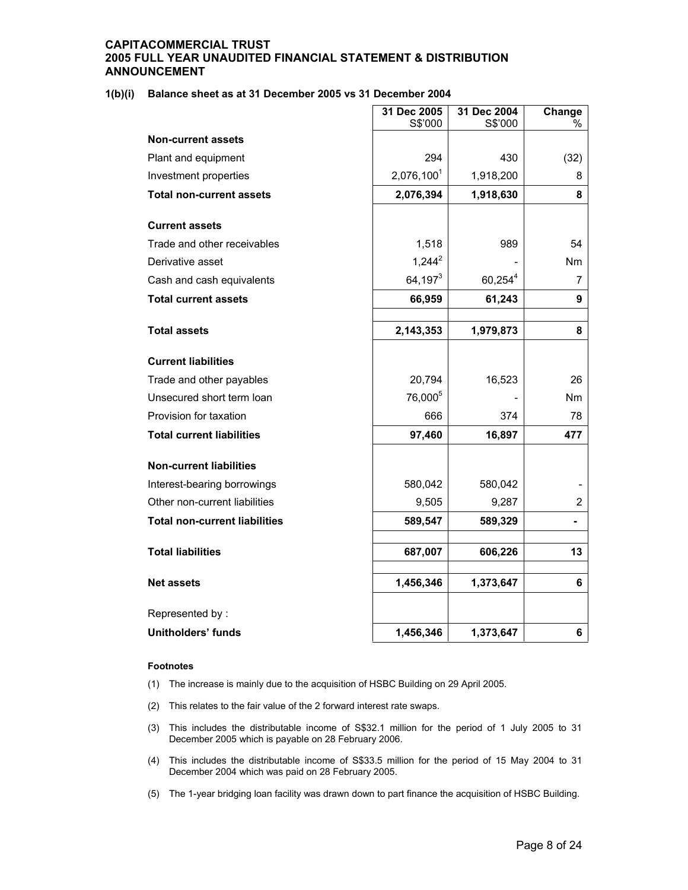## **1(b)(i) Balance sheet as at 31 December 2005 vs 31 December 2004**

|                                      | 31 Dec 2005<br>S\$'000 | 31 Dec 2004<br>S\$'000 | Change<br>℅    |
|--------------------------------------|------------------------|------------------------|----------------|
| <b>Non-current assets</b>            |                        |                        |                |
| Plant and equipment                  | 294                    | 430                    | (32)           |
| Investment properties                | 2,076,100 <sup>1</sup> | 1,918,200              | 8              |
|                                      |                        |                        |                |
| <b>Total non-current assets</b>      | 2,076,394              | 1,918,630              | 8              |
| <b>Current assets</b>                |                        |                        |                |
| Trade and other receivables          | 1,518                  | 989                    | 54             |
| Derivative asset                     | $1,244^2$              |                        | Nm             |
| Cash and cash equivalents            | $64,197^3$             | $60,254^4$             | 7              |
| <b>Total current assets</b>          | 66,959                 | 61,243                 | 9              |
|                                      |                        |                        |                |
| <b>Total assets</b>                  | 2,143,353              | 1,979,873              | 8              |
| <b>Current liabilities</b>           |                        |                        |                |
| Trade and other payables             | 20,794                 | 16,523                 | 26             |
| Unsecured short term loan            | 76,000 <sup>5</sup>    |                        | Nm             |
| Provision for taxation               | 666                    | 374                    | 78             |
| <b>Total current liabilities</b>     | 97,460                 | 16,897                 | 477            |
| <b>Non-current liabilities</b>       |                        |                        |                |
| Interest-bearing borrowings          | 580,042                | 580,042                |                |
| Other non-current liabilities        | 9,505                  | 9,287                  | $\overline{2}$ |
| <b>Total non-current liabilities</b> | 589,547                | 589,329                |                |
| <b>Total liabilities</b>             | 687,007                | 606,226                | 13             |
|                                      |                        |                        |                |
| <b>Net assets</b>                    | 1,456,346              | 1,373,647              | 6              |
| Represented by:                      |                        |                        |                |
| <b>Unitholders' funds</b>            | 1,456,346              | 1,373,647              | 6              |

#### **Footnotes**

- (1) The increase is mainly due to the acquisition of HSBC Building on 29 April 2005.
- (2) This relates to the fair value of the 2 forward interest rate swaps.
- (3) This includes the distributable income of S\$32.1 million for the period of 1 July 2005 to 31 December 2005 which is payable on 28 February 2006.
- (4) This includes the distributable income of S\$33.5 million for the period of 15 May 2004 to 31 December 2004 which was paid on 28 February 2005.
- (5) The 1-year bridging loan facility was drawn down to part finance the acquisition of HSBC Building.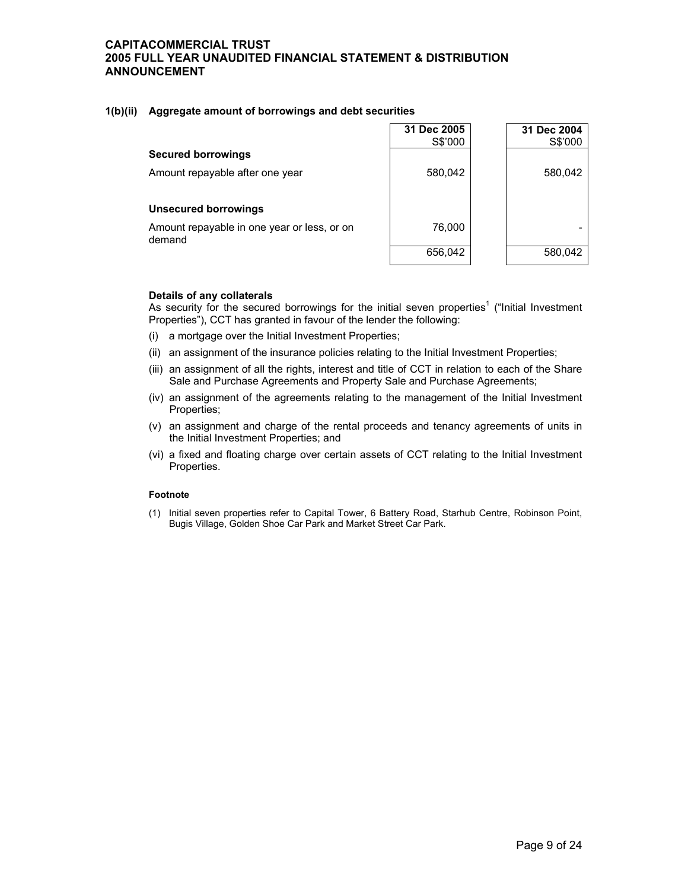## **1(b)(ii) Aggregate amount of borrowings and debt securities**

|                                                       | 31 Dec 2005<br>S\$'000 | 31 Dec 2004<br>S\$'000 |
|-------------------------------------------------------|------------------------|------------------------|
| <b>Secured borrowings</b>                             |                        |                        |
| Amount repayable after one year                       | 580,042                | 580,042                |
| <b>Unsecured borrowings</b>                           |                        |                        |
| Amount repayable in one year or less, or on<br>demand | 76,000                 |                        |
|                                                       | 656,042                | 580.042                |

## **Details of any collaterals**

As security for the secured borrowings for the initial seven properties<sup>1</sup> ("Initial Investment Properties"), CCT has granted in favour of the lender the following:

- (i) a mortgage over the Initial Investment Properties;
- (ii) an assignment of the insurance policies relating to the Initial Investment Properties;
- (iii) an assignment of all the rights, interest and title of CCT in relation to each of the Share Sale and Purchase Agreements and Property Sale and Purchase Agreements;
- (iv) an assignment of the agreements relating to the management of the Initial Investment Properties;
- (v) an assignment and charge of the rental proceeds and tenancy agreements of units in the Initial Investment Properties; and
- (vi) a fixed and floating charge over certain assets of CCT relating to the Initial Investment Properties.

## **Footnote**

(1) Initial seven properties refer to Capital Tower, 6 Battery Road, Starhub Centre, Robinson Point, Bugis Village, Golden Shoe Car Park and Market Street Car Park.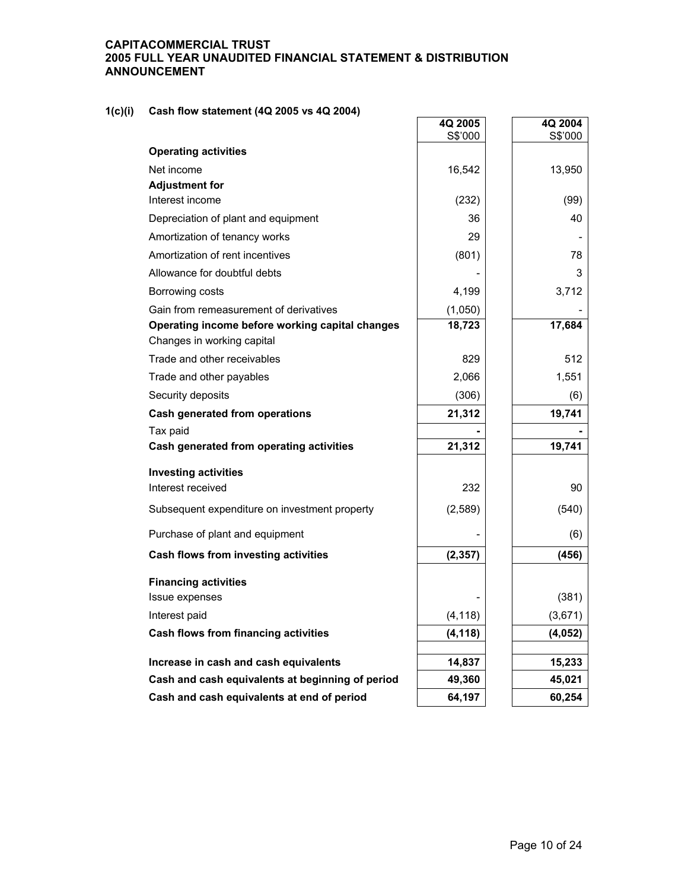# **1(c)(i) Cash flow statement (4Q 2005 vs 4Q 2004)**

| $311$ HOW Statement (48, 2000 VS 48, 2004)                                    | 4Q 2005<br>S\$'000 | 4Q 2004<br>S\$'000 |
|-------------------------------------------------------------------------------|--------------------|--------------------|
| <b>Operating activities</b>                                                   |                    |                    |
| Net income                                                                    | 16,542             | 13,950             |
| <b>Adjustment for</b>                                                         |                    |                    |
| Interest income                                                               | (232)              | (99)               |
| Depreciation of plant and equipment                                           | 36                 | 40                 |
| Amortization of tenancy works                                                 | 29                 |                    |
| Amortization of rent incentives                                               | (801)              | 78                 |
| Allowance for doubtful debts                                                  |                    | 3                  |
| Borrowing costs                                                               | 4,199              | 3,712              |
| Gain from remeasurement of derivatives                                        | (1,050)            |                    |
| Operating income before working capital changes<br>Changes in working capital | 18,723             | 17,684             |
| Trade and other receivables                                                   | 829                | 512                |
| Trade and other payables                                                      | 2,066              | 1,551              |
| Security deposits                                                             | (306)              | (6)                |
| Cash generated from operations                                                | 21,312             | 19,741             |
| Tax paid                                                                      |                    |                    |
| Cash generated from operating activities                                      | 21,312             | 19,741             |
| <b>Investing activities</b>                                                   |                    |                    |
| Interest received                                                             | 232                | 90                 |
| Subsequent expenditure on investment property                                 | (2,589)            | (540)              |
| Purchase of plant and equipment                                               |                    | (6)                |
| Cash flows from investing activities                                          | (2, 357)           | (456)              |
| <b>Financing activities</b>                                                   |                    |                    |
| Issue expenses                                                                |                    | (381)              |
| Interest paid                                                                 | (4, 118)           | (3,671)            |
| Cash flows from financing activities                                          | (4, 118)           | (4,052)            |
| Increase in cash and cash equivalents                                         | 14,837             | 15,233             |
| Cash and cash equivalents at beginning of period                              | 49,360             | 45,021             |
| Cash and cash equivalents at end of period                                    | 64,197             | 60,254             |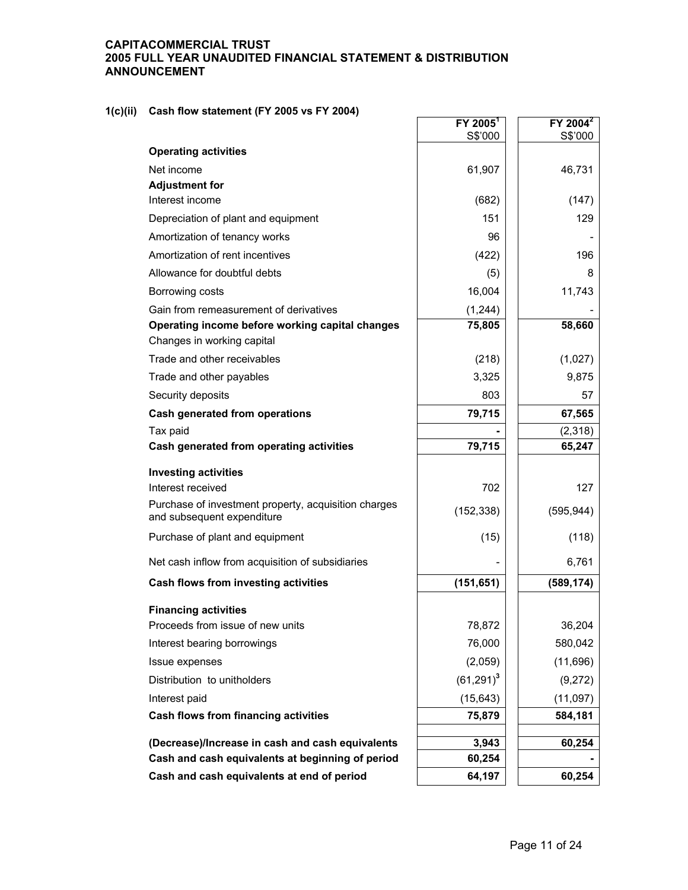# **1(c)(ii) Cash flow statement (FY 2005 vs FY 2004)**

|                                                                                    | FY 2005 <sup>1</sup> | $FY$ 2004 <sup>2</sup> |
|------------------------------------------------------------------------------------|----------------------|------------------------|
|                                                                                    | S\$'000              | S\$'000                |
| <b>Operating activities</b>                                                        |                      |                        |
| Net income                                                                         | 61,907               | 46,731                 |
| <b>Adjustment for</b>                                                              |                      |                        |
| Interest income                                                                    | (682)                | (147)                  |
| Depreciation of plant and equipment                                                | 151                  | 129                    |
| Amortization of tenancy works                                                      | 96                   |                        |
| Amortization of rent incentives                                                    | (422)                | 196                    |
| Allowance for doubtful debts                                                       | (5)                  | 8                      |
| Borrowing costs                                                                    | 16,004               | 11,743                 |
| Gain from remeasurement of derivatives                                             | (1, 244)             |                        |
| Operating income before working capital changes<br>Changes in working capital      | 75,805               | 58,660                 |
| Trade and other receivables                                                        | (218)                | (1,027)                |
| Trade and other payables                                                           | 3,325                | 9,875                  |
| Security deposits                                                                  | 803                  | 57                     |
| <b>Cash generated from operations</b>                                              | 79,715               | 67,565                 |
| Tax paid                                                                           |                      | (2,318)                |
| Cash generated from operating activities                                           | 79,715               | 65,247                 |
| <b>Investing activities</b>                                                        |                      |                        |
| Interest received                                                                  | 702                  | 127                    |
| Purchase of investment property, acquisition charges<br>and subsequent expenditure | (152, 338)           | (595, 944)             |
| Purchase of plant and equipment                                                    | (15)                 | (118)                  |
| Net cash inflow from acquisition of subsidiaries                                   |                      | 6,761                  |
| Cash flows from investing activities                                               | (151, 651)           | (589, 174)             |
| <b>Financing activities</b>                                                        |                      |                        |
| Proceeds from issue of new units                                                   | 78,872               | 36,204                 |
| Interest bearing borrowings                                                        | 76,000               | 580,042                |
| Issue expenses                                                                     | (2,059)              | (11,696)               |
| Distribution to unitholders                                                        | $(61,291)^3$         | (9,272)                |
| Interest paid                                                                      | (15, 643)            | (11,097)               |
| Cash flows from financing activities                                               | 75,879               | 584,181                |
| (Decrease)/Increase in cash and cash equivalents                                   | 3,943                | 60,254                 |
| Cash and cash equivalents at beginning of period                                   | 60,254               |                        |
| Cash and cash equivalents at end of period                                         | 64,197               | 60,254                 |
|                                                                                    |                      |                        |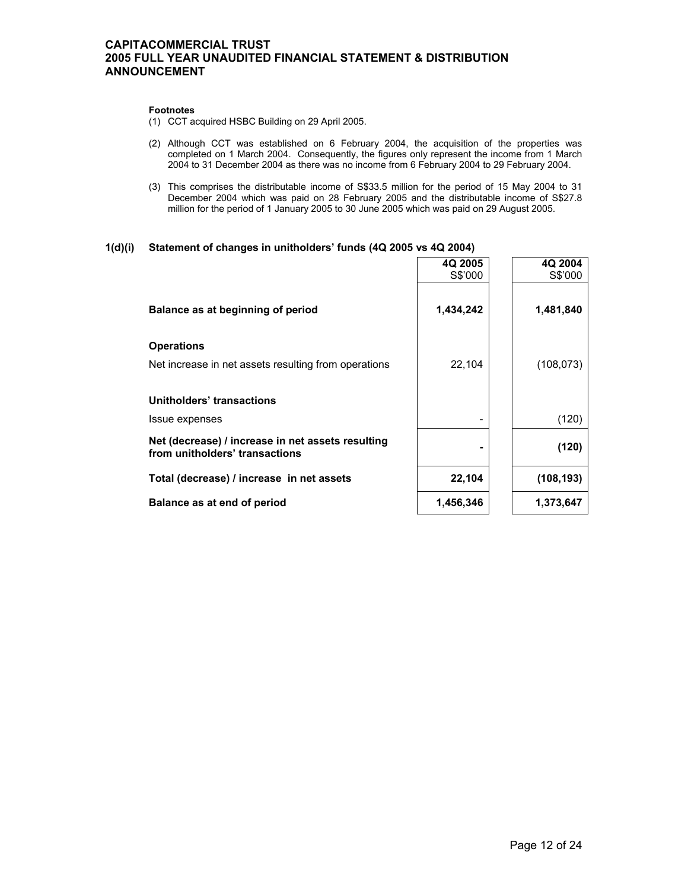#### **Footnotes**

- (1) CCT acquired HSBC Building on 29 April 2005.
- (2) Although CCT was established on 6 February 2004, the acquisition of the properties was completed on 1 March 2004. Consequently, the figures only represent the income from 1 March 2004 to 31 December 2004 as there was no income from 6 February 2004 to 29 February 2004.
- (3) This comprises the distributable income of S\$33.5 million for the period of 15 May 2004 to 31 December 2004 which was paid on 28 February 2005 and the distributable income of S\$27.8 million for the period of 1 January 2005 to 30 June 2005 which was paid on 29 August 2005.

## **1(d)(i) Statement of changes in unitholders' funds (4Q 2005 vs 4Q 2004)**

| 4Q 2005   | 4Q 2004<br>S\$'000 |
|-----------|--------------------|
|           |                    |
| 1,434,242 | 1,481,840          |
|           |                    |
| 22,104    | (108, 073)         |
|           |                    |
|           |                    |
|           | (120)              |
|           | (120)              |
| 22,104    | (108, 193)         |
| 1,456,346 | 1,373,647          |
|           | S\$'000            |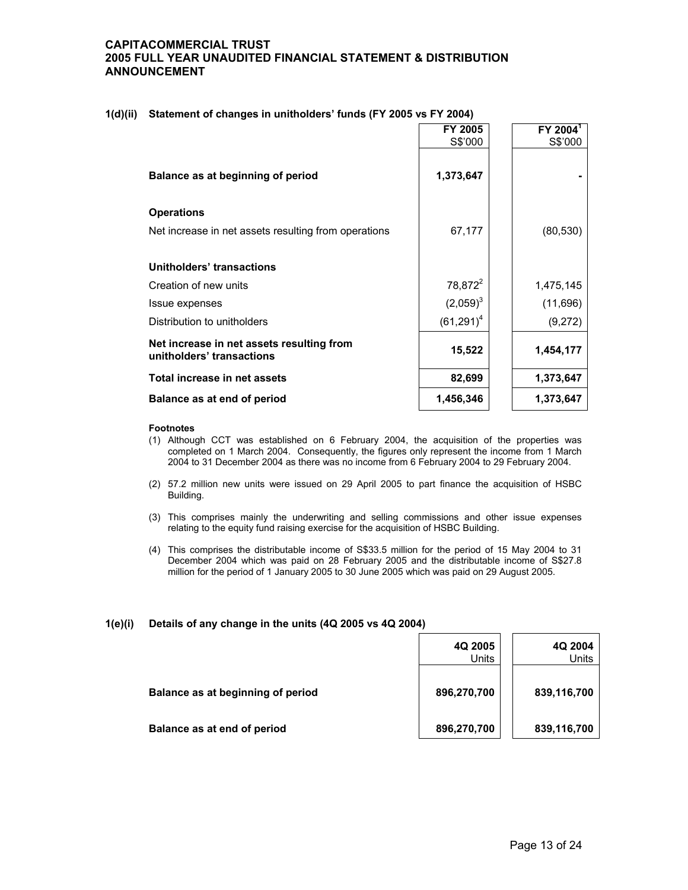|                                                                        | FY 2005<br>S\$'000  | FY 2004 <sup>1</sup><br>S\$'000 |
|------------------------------------------------------------------------|---------------------|---------------------------------|
| Balance as at beginning of period                                      | 1,373,647           |                                 |
| <b>Operations</b>                                                      |                     |                                 |
| Net increase in net assets resulting from operations                   | 67,177              | (80, 530)                       |
| Unitholders' transactions                                              |                     |                                 |
| Creation of new units                                                  | 78,872 <sup>2</sup> | 1,475,145                       |
| Issue expenses                                                         | $(2,059)^3$         | (11,696)                        |
| Distribution to unitholders                                            | $(61,291)^4$        | (9,272)                         |
| Net increase in net assets resulting from<br>unitholders' transactions | 15,522              | 1,454,177                       |
| Total increase in net assets                                           | 82,699              | 1,373,647                       |
| Balance as at end of period                                            | 1,456,346           | 1,373,647                       |

## **1(d)(ii) Statement of changes in unitholders' funds (FY 2005 vs FY 2004)**

#### **Footnotes**

- (1) Although CCT was established on 6 February 2004, the acquisition of the properties was completed on 1 March 2004. Consequently, the figures only represent the income from 1 March 2004 to 31 December 2004 as there was no income from 6 February 2004 to 29 February 2004.
- (2) 57.2 million new units were issued on 29 April 2005 to part finance the acquisition of HSBC Building.
- (3) This comprises mainly the underwriting and selling commissions and other issue expenses relating to the equity fund raising exercise for the acquisition of HSBC Building.
- (4) This comprises the distributable income of S\$33.5 million for the period of 15 May 2004 to 31 December 2004 which was paid on 28 February 2005 and the distributable income of S\$27.8 million for the period of 1 January 2005 to 30 June 2005 which was paid on 29 August 2005.

## **1(e)(i) Details of any change in the units (4Q 2005 vs 4Q 2004)**

|                                   | 4Q 2005<br>Units | 4Q 2004<br>Units |
|-----------------------------------|------------------|------------------|
| Balance as at beginning of period | 896,270,700      | 839,116,700      |
| Balance as at end of period       | 896,270,700      | 839,116,700      |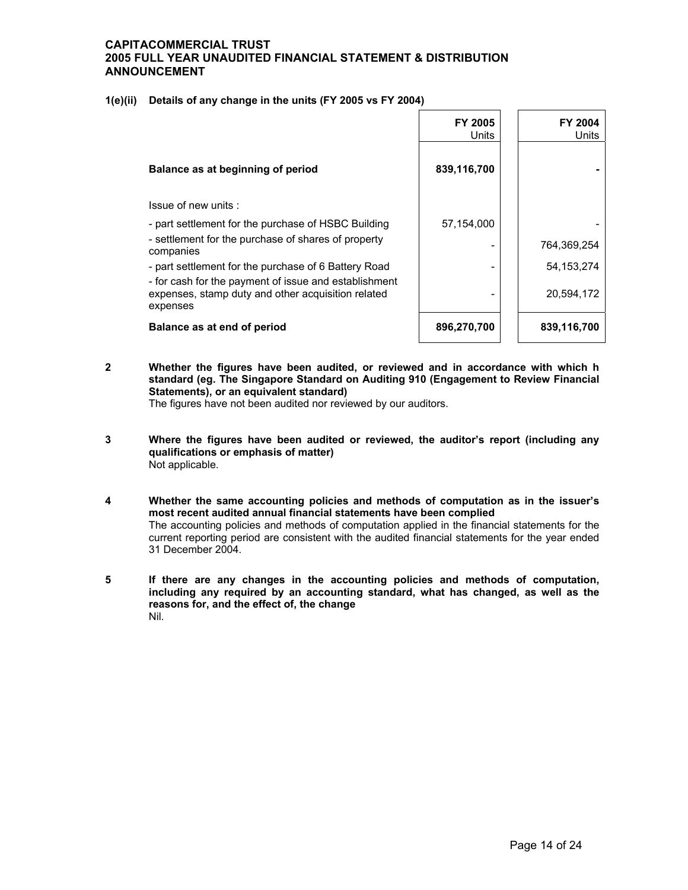**1(e)(ii) Details of any change in the units (FY 2005 vs FY 2004)**

|                                                                                                                         | <b>FY 2005</b><br>Units | <b>FY 2004</b><br>Units |
|-------------------------------------------------------------------------------------------------------------------------|-------------------------|-------------------------|
| Balance as at beginning of period                                                                                       | 839,116,700             |                         |
| Issue of new units:                                                                                                     |                         |                         |
| - part settlement for the purchase of HSBC Building                                                                     | 57,154,000              |                         |
| - settlement for the purchase of shares of property<br>companies                                                        |                         | 764,369,254             |
| - part settlement for the purchase of 6 Battery Road                                                                    |                         | 54, 153, 274            |
| - for cash for the payment of issue and establishment<br>expenses, stamp duty and other acquisition related<br>expenses |                         | 20,594,172              |
| Balance as at end of period                                                                                             | 896,270,700             | 839,116,700             |

**2 Whether the figures have been audited, or reviewed and in accordance with which h standard (eg. The Singapore Standard on Auditing 910 (Engagement to Review Financial Statements), or an equivalent standard)** 

The figures have not been audited nor reviewed by our auditors.

- **3 Where the figures have been audited or reviewed, the auditor's report (including any qualifications or emphasis of matter)**  Not applicable.
- **4 Whether the same accounting policies and methods of computation as in the issuer's most recent audited annual financial statements have been complied**  The accounting policies and methods of computation applied in the financial statements for the current reporting period are consistent with the audited financial statements for the year ended 31 December 2004.
- **5 If there are any changes in the accounting policies and methods of computation, including any required by an accounting standard, what has changed, as well as the reasons for, and the effect of, the change**  Nil.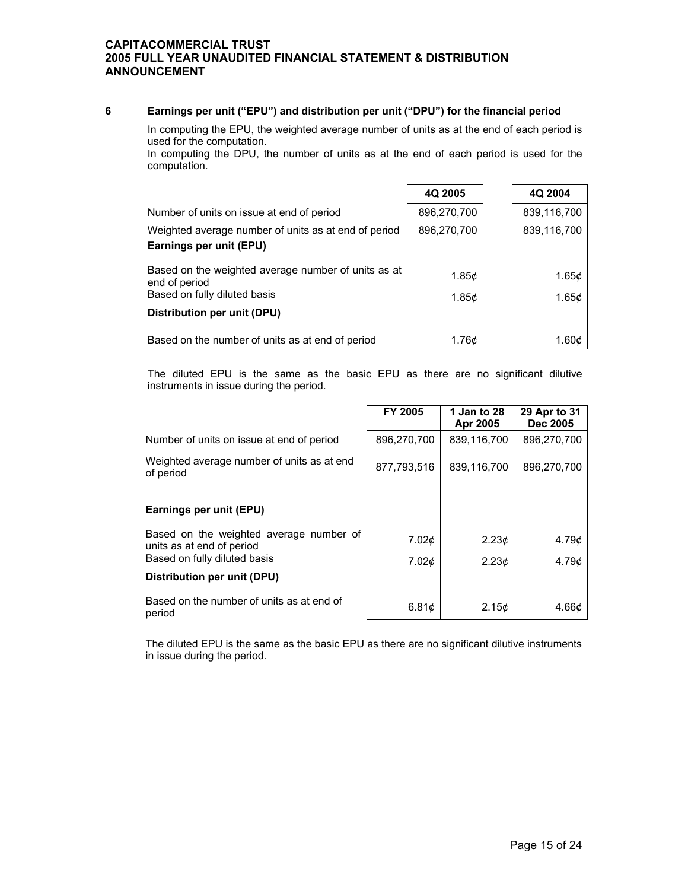## **6 Earnings per unit ("EPU") and distribution per unit ("DPU") for the financial period**

 In computing the EPU, the weighted average number of units as at the end of each period is used for the computation.

 In computing the DPU, the number of units as at the end of each period is used for the computation.

|                                                                                                      | 4Q 2005                    | 4Q 2004                    |
|------------------------------------------------------------------------------------------------------|----------------------------|----------------------------|
| Number of units on issue at end of period                                                            | 896,270,700                | 839,116,700                |
| Weighted average number of units as at end of period<br>Earnings per unit (EPU)                      | 896,270,700                | 839,116,700                |
| Based on the weighted average number of units as at<br>end of period<br>Based on fully diluted basis | 1.85 $\phi$<br>1.85 $\phi$ | 1.65 $\phi$<br>1.65 $\phi$ |
| Distribution per unit (DPU)                                                                          |                            |                            |
| Based on the number of units as at end of period                                                     | 1.76¢                      | 1.60¢                      |

The diluted EPU is the same as the basic EPU as there are no significant dilutive instruments in issue during the period.

|                                                                      | FY 2005           | 1 Jan to 28<br>Apr 2005 | 29 Apr to 31<br><b>Dec 2005</b> |
|----------------------------------------------------------------------|-------------------|-------------------------|---------------------------------|
| Number of units on issue at end of period                            | 896,270,700       | 839,116,700             | 896,270,700                     |
| Weighted average number of units as at end<br>of period              | 877.793.516       | 839,116,700             | 896.270.700                     |
| Earnings per unit (EPU)                                              |                   |                         |                                 |
| Based on the weighted average number of<br>units as at end of period | 7.02¢             | 2.23 <sub>c</sub>       | 4.79 <sub>c</sub>               |
| Based on fully diluted basis                                         | 7.02 <sub>0</sub> | 2.23¢                   | 4.79c                           |
| Distribution per unit (DPU)                                          |                   |                         |                                 |
| Based on the number of units as at end of<br>period                  | 6.81c             | 2.15¢                   | 4.66 <sub>¢</sub>               |

The diluted EPU is the same as the basic EPU as there are no significant dilutive instruments in issue during the period.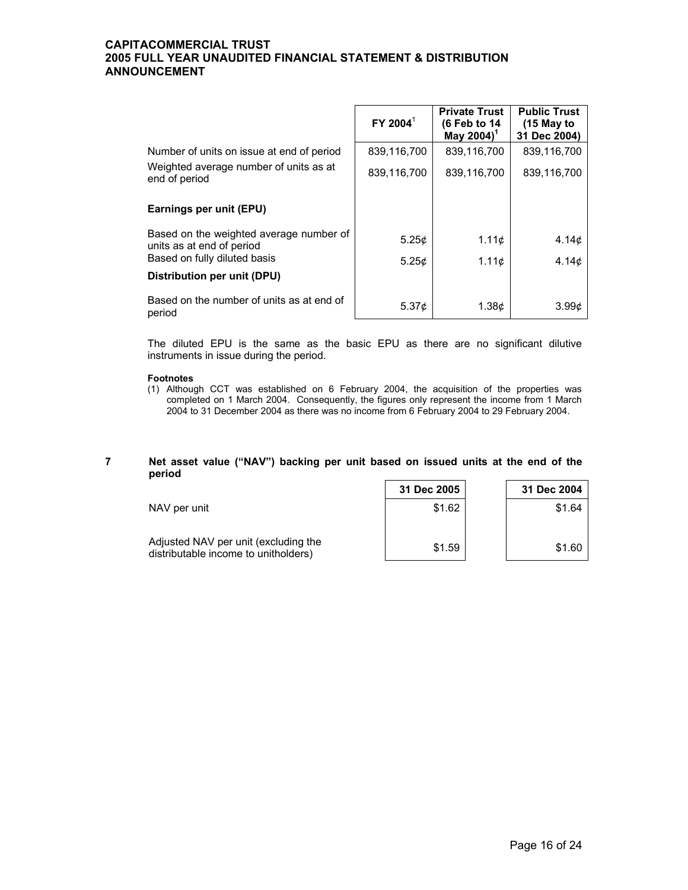|                                                                      | FY 2004 <sup>1</sup> | <b>Private Trust</b><br>(6 Feb to 14<br>May 2004) <sup>1</sup> | <b>Public Trust</b><br>$(15$ May to<br>31 Dec 2004) |
|----------------------------------------------------------------------|----------------------|----------------------------------------------------------------|-----------------------------------------------------|
| Number of units on issue at end of period                            | 839,116,700          | 839,116,700                                                    | 839,116,700                                         |
| Weighted average number of units as at<br>end of period              | 839,116,700          | 839,116,700                                                    | 839,116,700                                         |
| Earnings per unit (EPU)                                              |                      |                                                                |                                                     |
| Based on the weighted average number of<br>units as at end of period | 5.25¢                | 1.11¢                                                          | 4.14¢                                               |
| Based on fully diluted basis                                         | 5.25c                | 1.11c                                                          | 4.14¢                                               |
| Distribution per unit (DPU)                                          |                      |                                                                |                                                     |
| Based on the number of units as at end of<br>period                  | 5.37 $\phi$          | 1.38 <sub>c</sub>                                              | 3.99 <sub>0</sub>                                   |

The diluted EPU is the same as the basic EPU as there are no significant dilutive instruments in issue during the period.

#### **Footnotes**

(1) Although CCT was established on 6 February 2004, the acquisition of the properties was completed on 1 March 2004. Consequently, the figures only represent the income from 1 March 2004 to 31 December 2004 as there was no income from 6 February 2004 to 29 February 2004.

## **7 Net asset value ("NAV") backing per unit based on issued units at the end of the period**

|                                                                              | 31 Dec 2005 | 31 Dec 2004 |
|------------------------------------------------------------------------------|-------------|-------------|
| NAV per unit                                                                 | \$1.62      | \$1.64      |
| Adjusted NAV per unit (excluding the<br>distributable income to unitholders) | \$1.59      | \$1.60      |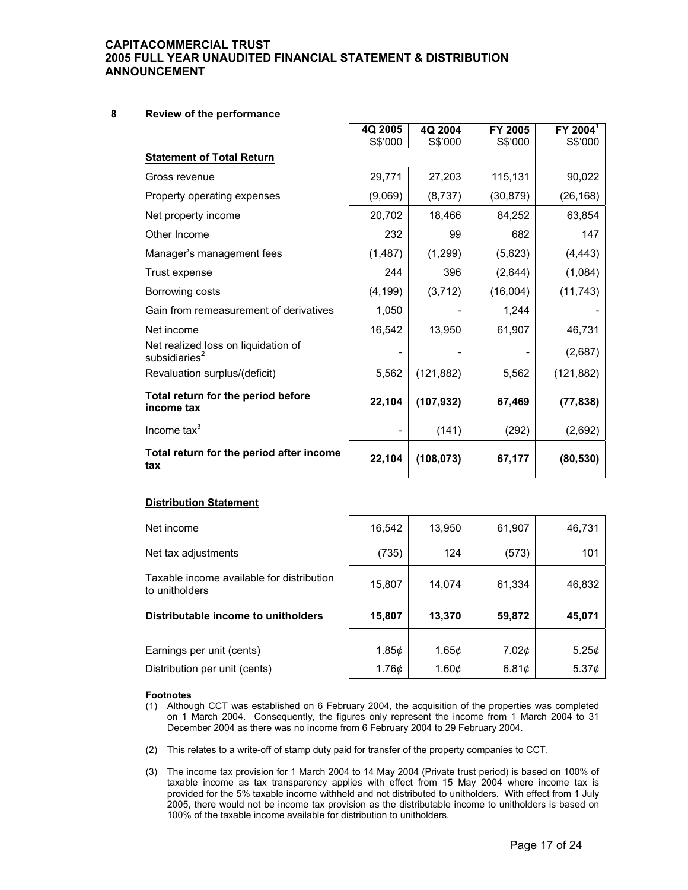## **8 Review of the performance**

|                                                         | 4Q 2005<br>S\$'000 | 4Q 2004    | FY 2005<br>S\$'000 | $FY$ 2004 $^1$<br>S\$'000 |
|---------------------------------------------------------|--------------------|------------|--------------------|---------------------------|
| <b>Statement of Total Return</b>                        |                    | S\$'000    |                    |                           |
|                                                         |                    |            |                    |                           |
| Gross revenue                                           | 29,771             | 27,203     | 115,131            | 90,022                    |
| Property operating expenses                             | (9,069)            | (8,737)    | (30, 879)          | (26, 168)                 |
| Net property income                                     | 20,702             | 18,466     | 84,252             | 63,854                    |
| Other Income                                            | 232                | 99         | 682                | 147                       |
| Manager's management fees                               | (1, 487)           | (1, 299)   | (5,623)            | (4, 443)                  |
| Trust expense                                           | 244                | 396        | (2,644)            | (1,084)                   |
| Borrowing costs                                         | (4, 199)           | (3,712)    | (16,004)           | (11, 743)                 |
| Gain from remeasurement of derivatives                  | 1,050              |            | 1,244              |                           |
| Net income                                              | 16,542             | 13,950     | 61,907             | 46,731                    |
| Net realized loss on liquidation of<br>subsidiaries $2$ |                    |            |                    | (2,687)                   |
| Revaluation surplus/(deficit)                           | 5,562              | (121, 882) | 5,562              | (121, 882)                |
| Total return for the period before<br>income tax        | 22,104             | (107, 932) | 67,469             | (77, 838)                 |
| Income $\text{tax}^3$                                   |                    | (141)      | (292)              | (2,692)                   |
| Total return for the period after income<br>tax         | 22,104             | (108, 073) | 67,177             | (80, 530)                 |

## **Distribution Statement**

| Net income                                                  | 16,542            | 13,950 | 61,907            | 46,731      |
|-------------------------------------------------------------|-------------------|--------|-------------------|-------------|
| Net tax adjustments                                         | (735)             | 124    | (573)             | 101         |
| Taxable income available for distribution<br>to unitholders | 15,807            | 14,074 | 61,334            | 46,832      |
| Distributable income to unitholders                         | 15,807            | 13,370 | 59,872            | 45,071      |
| Earnings per unit (cents)                                   | 1.85 <sub>c</sub> | 1.65c  | 7.02 <sub>0</sub> | 5.25¢       |
| Distribution per unit (cents)                               | 1.76¢             | 1.60¢  | 6.81c             | 5.37 $\phi$ |

#### **Footnotes**

- (1) Although CCT was established on 6 February 2004, the acquisition of the properties was completed on 1 March 2004. Consequently, the figures only represent the income from 1 March 2004 to 31 December 2004 as there was no income from 6 February 2004 to 29 February 2004.
- (2) This relates to a write-off of stamp duty paid for transfer of the property companies to CCT.
- (3) The income tax provision for 1 March 2004 to 14 May 2004 (Private trust period) is based on 100% of taxable income as tax transparency applies with effect from 15 May 2004 where income tax is provided for the 5% taxable income withheld and not distributed to unitholders. With effect from 1 July 2005, there would not be income tax provision as the distributable income to unitholders is based on 100% of the taxable income available for distribution to unitholders.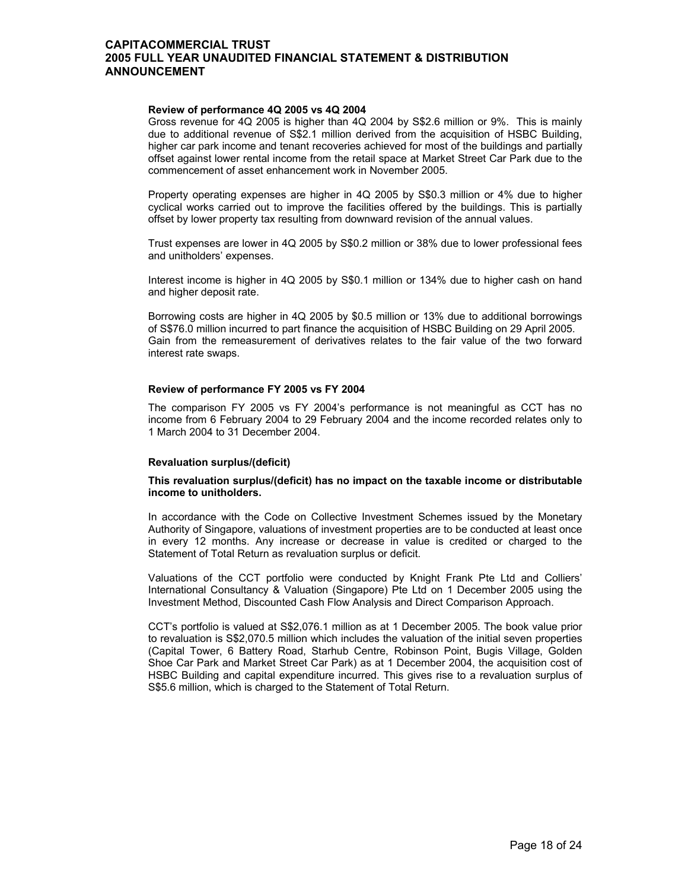#### **Review of performance 4Q 2005 vs 4Q 2004**

 Gross revenue for 4Q 2005 is higher than 4Q 2004 by S\$2.6 million or 9%. This is mainly due to additional revenue of S\$2.1 million derived from the acquisition of HSBC Building, higher car park income and tenant recoveries achieved for most of the buildings and partially offset against lower rental income from the retail space at Market Street Car Park due to the commencement of asset enhancement work in November 2005.

Property operating expenses are higher in 4Q 2005 by S\$0.3 million or 4% due to higher cyclical works carried out to improve the facilities offered by the buildings. This is partially offset by lower property tax resulting from downward revision of the annual values.

Trust expenses are lower in 4Q 2005 by S\$0.2 million or 38% due to lower professional fees and unitholders' expenses.

Interest income is higher in 4Q 2005 by S\$0.1 million or 134% due to higher cash on hand and higher deposit rate.

Borrowing costs are higher in 4Q 2005 by \$0.5 million or 13% due to additional borrowings of S\$76.0 million incurred to part finance the acquisition of HSBC Building on 29 April 2005. Gain from the remeasurement of derivatives relates to the fair value of the two forward interest rate swaps.

## **Review of performance FY 2005 vs FY 2004**

 The comparison FY 2005 vs FY 2004's performance is not meaningful as CCT has no income from 6 February 2004 to 29 February 2004 and the income recorded relates only to 1 March 2004 to 31 December 2004.

#### **Revaluation surplus/(deficit)**

#### **This revaluation surplus/(deficit) has no impact on the taxable income or distributable income to unitholders.**

 In accordance with the Code on Collective Investment Schemes issued by the Monetary Authority of Singapore, valuations of investment properties are to be conducted at least once in every 12 months. Any increase or decrease in value is credited or charged to the Statement of Total Return as revaluation surplus or deficit.

Valuations of the CCT portfolio were conducted by Knight Frank Pte Ltd and Colliers' International Consultancy & Valuation (Singapore) Pte Ltd on 1 December 2005 using the Investment Method, Discounted Cash Flow Analysis and Direct Comparison Approach.

CCT's portfolio is valued at S\$2,076.1 million as at 1 December 2005. The book value prior to revaluation is S\$2,070.5 million which includes the valuation of the initial seven properties (Capital Tower, 6 Battery Road, Starhub Centre, Robinson Point, Bugis Village, Golden Shoe Car Park and Market Street Car Park) as at 1 December 2004, the acquisition cost of HSBC Building and capital expenditure incurred. This gives rise to a revaluation surplus of S\$5.6 million, which is charged to the Statement of Total Return.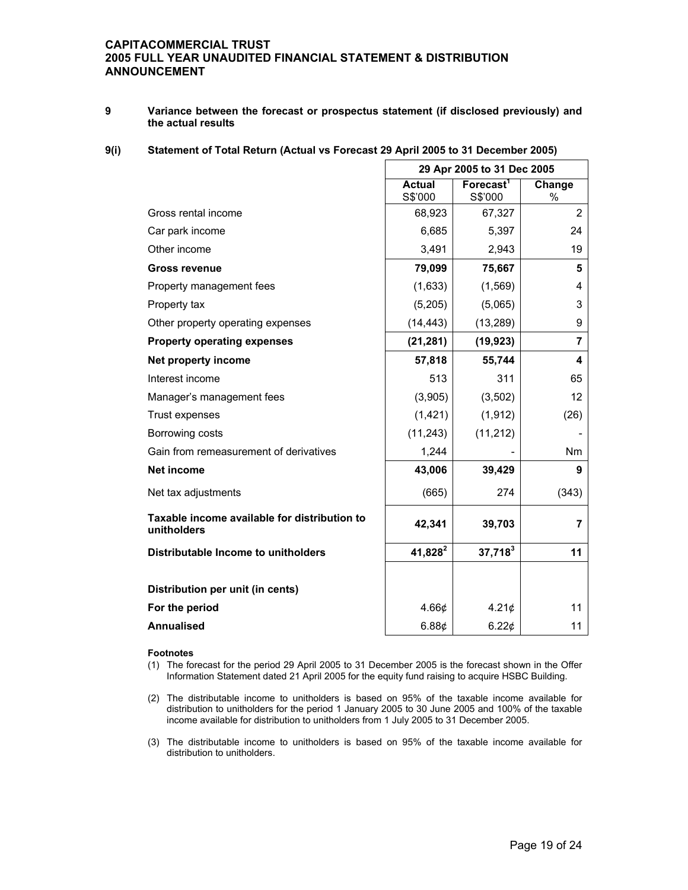**9 Variance between the forecast or prospectus statement (if disclosed previously) and the actual results** 

## **9(i) Statement of Total Return (Actual vs Forecast 29 April 2005 to 31 December 2005)**

|                                                             | 29 Apr 2005 to 31 Dec 2005 |                                  |                |
|-------------------------------------------------------------|----------------------------|----------------------------------|----------------|
|                                                             | <b>Actual</b><br>S\$'000   | Forecast <sup>1</sup><br>S\$'000 | Change<br>%    |
| Gross rental income                                         | 68,923                     | 67,327                           | $\overline{2}$ |
| Car park income                                             | 6,685                      | 5,397                            | 24             |
| Other income                                                | 3,491                      | 2,943                            | 19             |
| <b>Gross revenue</b>                                        | 79,099                     | 75,667                           | 5              |
| Property management fees                                    | (1,633)                    | (1, 569)                         | 4              |
| Property tax                                                | (5,205)                    | (5,065)                          | 3              |
| Other property operating expenses                           | (14, 443)                  | (13, 289)                        | 9              |
| <b>Property operating expenses</b>                          | (21, 281)                  | (19, 923)                        | $\overline{7}$ |
| Net property income                                         | 57,818                     | 55,744                           | 4              |
| Interest income                                             | 513                        | 311                              | 65             |
| Manager's management fees                                   | (3,905)                    | (3, 502)                         | 12             |
| Trust expenses                                              | (1, 421)                   | (1, 912)                         | (26)           |
| Borrowing costs                                             | (11, 243)                  | (11, 212)                        |                |
| Gain from remeasurement of derivatives                      | 1,244                      |                                  | <b>Nm</b>      |
| <b>Net income</b>                                           | 43,006                     | 39,429                           | 9              |
| Net tax adjustments                                         | (665)                      | 274                              | (343)          |
| Taxable income available for distribution to<br>unitholders | 42,341                     | 39,703                           | 7              |
| Distributable Income to unitholders                         | $41,828^2$                 | $37,718^3$                       | 11             |
|                                                             |                            |                                  |                |
| Distribution per unit (in cents)                            |                            |                                  |                |
| For the period                                              | 4.66¢                      | 4.21¢                            | 11             |
| <b>Annualised</b>                                           | 6.88¢                      | 6.22¢                            | 11             |

#### **Footnotes**

(1) The forecast for the period 29 April 2005 to 31 December 2005 is the forecast shown in the Offer Information Statement dated 21 April 2005 for the equity fund raising to acquire HSBC Building.

(2) The distributable income to unitholders is based on 95% of the taxable income available for distribution to unitholders for the period 1 January 2005 to 30 June 2005 and 100% of the taxable income available for distribution to unitholders from 1 July 2005 to 31 December 2005.

(3) The distributable income to unitholders is based on 95% of the taxable income available for distribution to unitholders.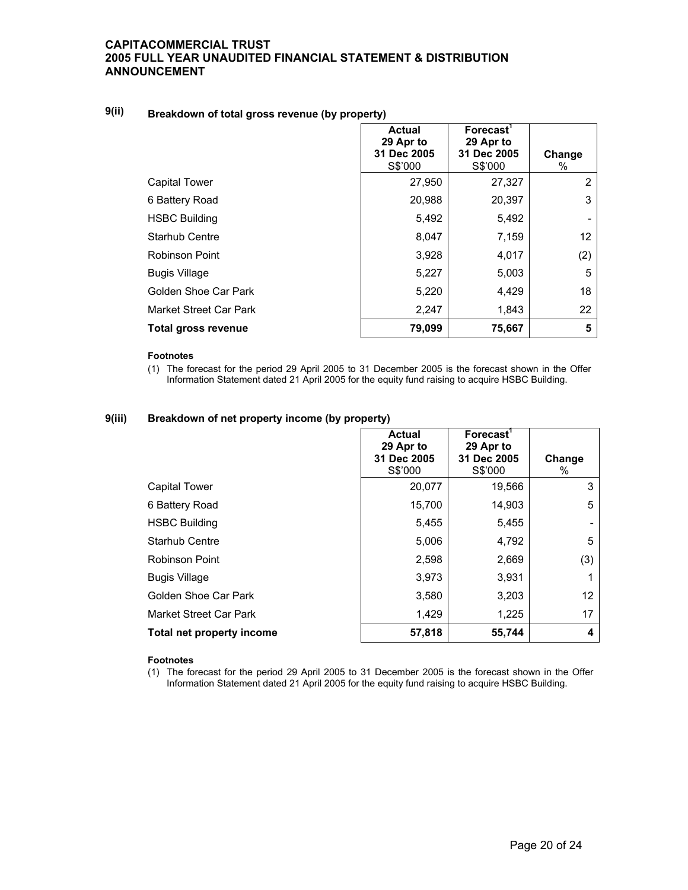# **9(ii) Breakdown of total gross revenue (by property)**

|                        | <b>Actual</b><br>29 Apr to<br>31 Dec 2005<br>S\$'000 | Forecast <sup>'</sup><br>29 Apr to<br>31 Dec 2005<br>S\$'000 | Change<br>% |
|------------------------|------------------------------------------------------|--------------------------------------------------------------|-------------|
| <b>Capital Tower</b>   | 27,950                                               | 27,327                                                       | 2           |
| 6 Battery Road         | 20,988                                               | 20,397                                                       | 3           |
| <b>HSBC Building</b>   | 5,492                                                | 5,492                                                        |             |
| Starhub Centre         | 8,047                                                | 7,159                                                        | 12          |
| Robinson Point         | 3,928                                                | 4,017                                                        | (2)         |
| <b>Bugis Village</b>   | 5,227                                                | 5,003                                                        | 5           |
| Golden Shoe Car Park   | 5,220                                                | 4,429                                                        | 18          |
| Market Street Car Park | 2,247                                                | 1,843                                                        | 22          |
| Total gross revenue    | 79,099                                               | 75,667                                                       | 5           |

#### **Footnotes**

(1) The forecast for the period 29 April 2005 to 31 December 2005 is the forecast shown in the Offer Information Statement dated 21 April 2005 for the equity fund raising to acquire HSBC Building.

## **9(iii) Breakdown of net property income (by property)**

|                           | Actual<br>29 Apr to<br>31 Dec 2005<br>S\$'000 | Forecast <sup>1</sup><br>29 Apr to<br>31 Dec 2005<br>S\$'000 | Change<br>% |
|---------------------------|-----------------------------------------------|--------------------------------------------------------------|-------------|
| <b>Capital Tower</b>      | 20,077                                        | 19,566                                                       | 3           |
| 6 Battery Road            | 15,700                                        | 14,903                                                       | 5           |
| <b>HSBC Building</b>      | 5,455                                         | 5,455                                                        |             |
| Starhub Centre            | 5,006                                         | 4,792                                                        | 5           |
| <b>Robinson Point</b>     | 2,598                                         | 2,669                                                        | (3)         |
| <b>Bugis Village</b>      | 3,973                                         | 3,931                                                        |             |
| Golden Shoe Car Park      | 3,580                                         | 3,203                                                        | 12          |
| Market Street Car Park    | 1,429                                         | 1,225                                                        | 17          |
| Total net property income | 57,818                                        | 55,744                                                       | 4           |

#### **Footnotes**

(1) The forecast for the period 29 April 2005 to 31 December 2005 is the forecast shown in the Offer Information Statement dated 21 April 2005 for the equity fund raising to acquire HSBC Building.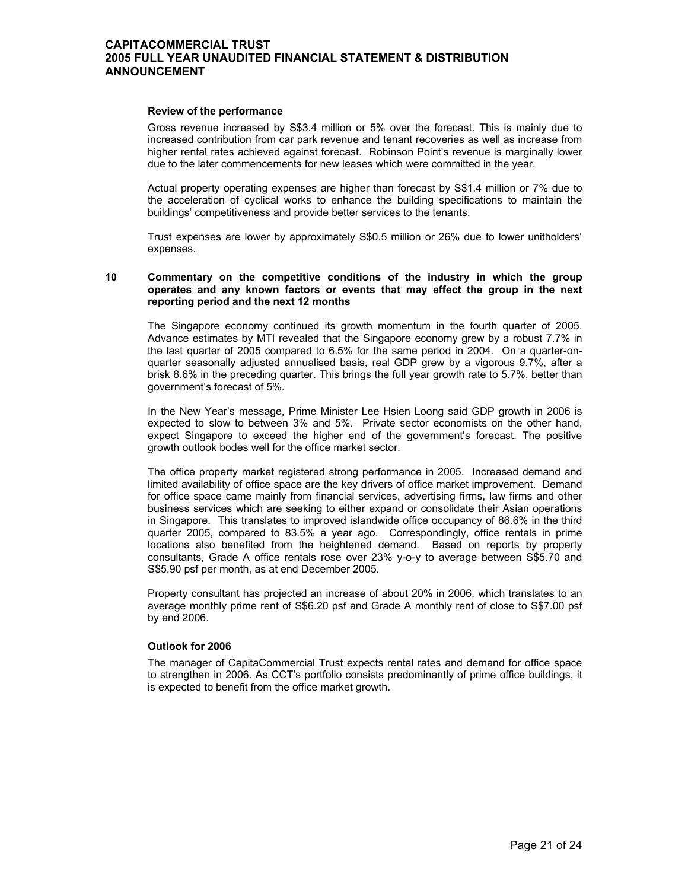#### **Review of the performance**

 Gross revenue increased by S\$3.4 million or 5% over the forecast. This is mainly due to increased contribution from car park revenue and tenant recoveries as well as increase from higher rental rates achieved against forecast. Robinson Point's revenue is marginally lower due to the later commencements for new leases which were committed in the year.

Actual property operating expenses are higher than forecast by S\$1.4 million or 7% due to the acceleration of cyclical works to enhance the building specifications to maintain the buildings' competitiveness and provide better services to the tenants.

Trust expenses are lower by approximately S\$0.5 million or 26% due to lower unitholders' expenses.

#### **10 Commentary on the competitive conditions of the industry in which the group operates and any known factors or events that may effect the group in the next reporting period and the next 12 months**

 The Singapore economy continued its growth momentum in the fourth quarter of 2005. Advance estimates by MTI revealed that the Singapore economy grew by a robust 7.7% in the last quarter of 2005 compared to 6.5% for the same period in 2004. On a quarter-onquarter seasonally adjusted annualised basis, real GDP grew by a vigorous 9.7%, after a brisk 8.6% in the preceding quarter. This brings the full year growth rate to 5.7%, better than government's forecast of 5%.

In the New Year's message, Prime Minister Lee Hsien Loong said GDP growth in 2006 is expected to slow to between 3% and 5%. Private sector economists on the other hand, expect Singapore to exceed the higher end of the government's forecast. The positive growth outlook bodes well for the office market sector.

The office property market registered strong performance in 2005. Increased demand and limited availability of office space are the key drivers of office market improvement. Demand for office space came mainly from financial services, advertising firms, law firms and other business services which are seeking to either expand or consolidate their Asian operations in Singapore. This translates to improved islandwide office occupancy of 86.6% in the third quarter 2005, compared to 83.5% a year ago. Correspondingly, office rentals in prime locations also benefited from the heightened demand. Based on reports by property consultants, Grade A office rentals rose over 23% y-o-y to average between S\$5.70 and S\$5.90 psf per month, as at end December 2005.

Property consultant has projected an increase of about 20% in 2006, which translates to an average monthly prime rent of S\$6.20 psf and Grade A monthly rent of close to S\$7.00 psf by end 2006.

## **Outlook for 2006**

 The manager of CapitaCommercial Trust expects rental rates and demand for office space to strengthen in 2006. As CCT's portfolio consists predominantly of prime office buildings, it is expected to benefit from the office market growth.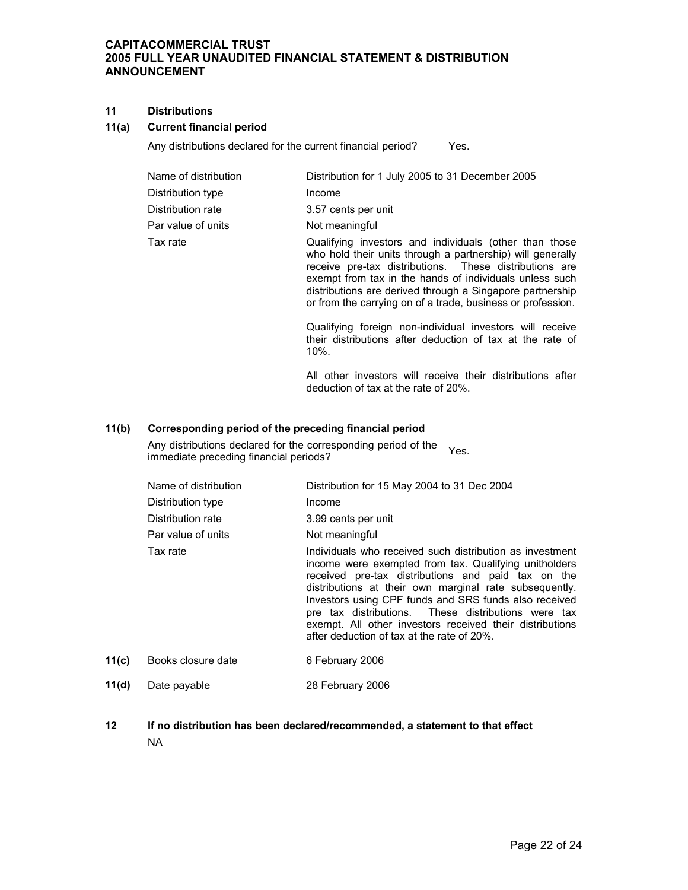## **11 Distributions**

## **11(a) Current financial period**

Any distributions declared for the current financial period? Yes.

| Name of distribution | Distribution for 1 July 2005 to 31 December 2005                                                                                                                                                                                          |
|----------------------|-------------------------------------------------------------------------------------------------------------------------------------------------------------------------------------------------------------------------------------------|
| Distribution type    | Income                                                                                                                                                                                                                                    |
| Distribution rate    | 3.57 cents per unit                                                                                                                                                                                                                       |
| Par value of units   | Not meaningful                                                                                                                                                                                                                            |
| Tax rate             | Qualifying investors and individuals (other than those<br>who hold their units through a partnership) will generally<br>receive pre-tax distributions. These distributions are<br>exempt from tax in the hands of individuals unless such |

distributions are derived through a Singapore partnership or from the carrying on of a trade, business or profession.

 Qualifying foreign non-individual investors will receive their distributions after deduction of tax at the rate of 10%.

 All other investors will receive their distributions after deduction of tax at the rate of 20%.

## **11(b) Corresponding period of the preceding financial period**

Any distributions declared for the corresponding period of the Any distributions declared for the corresponding period of the Yes.<br>immediate preceding financial periods?

|       | Name of distribution | Distribution for 15 May 2004 to 31 Dec 2004                                                                                                                                                                                                                                                                                                                                                                                                                 |
|-------|----------------------|-------------------------------------------------------------------------------------------------------------------------------------------------------------------------------------------------------------------------------------------------------------------------------------------------------------------------------------------------------------------------------------------------------------------------------------------------------------|
|       | Distribution type    | Income                                                                                                                                                                                                                                                                                                                                                                                                                                                      |
|       | Distribution rate    | 3.99 cents per unit                                                                                                                                                                                                                                                                                                                                                                                                                                         |
|       | Par value of units   | Not meaningful                                                                                                                                                                                                                                                                                                                                                                                                                                              |
|       | Tax rate             | Individuals who received such distribution as investment<br>income were exempted from tax. Qualifying unitholders<br>received pre-tax distributions and paid tax on the<br>distributions at their own marginal rate subsequently.<br>Investors using CPF funds and SRS funds also received<br>pre tax distributions. These distributions were tax<br>exempt. All other investors received their distributions<br>after deduction of tax at the rate of 20%. |
| 11(c) | Books closure date   | 6 February 2006                                                                                                                                                                                                                                                                                                                                                                                                                                             |
|       |                      |                                                                                                                                                                                                                                                                                                                                                                                                                                                             |

## 11(d) Date payable 28 February 2006

**12 If no distribution has been declared/recommended, a statement to that effect**  NA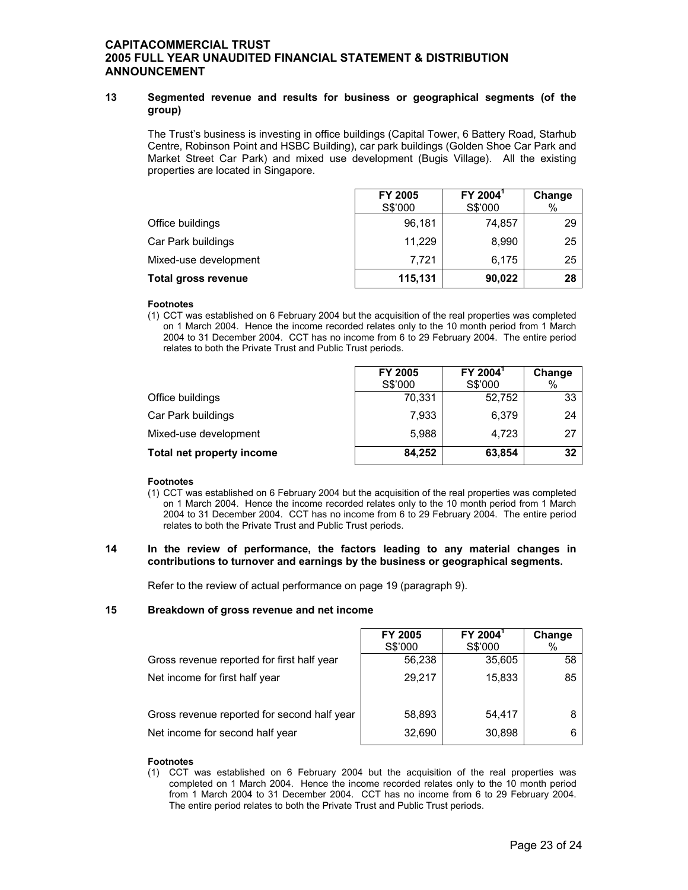## **13 Segmented revenue and results for business or geographical segments (of the group)**

The Trust's business is investing in office buildings (Capital Tower, 6 Battery Road, Starhub Centre, Robinson Point and HSBC Building), car park buildings (Golden Shoe Car Park and Market Street Car Park) and mixed use development (Bugis Village). All the existing properties are located in Singapore.

|                            | FY 2005 | FY 2004 <sup>1</sup> | Change |
|----------------------------|---------|----------------------|--------|
|                            | S\$'000 | S\$'000              | %      |
| Office buildings           | 96,181  | 74,857               | 29     |
| Car Park buildings         | 11,229  | 8,990                | 25     |
| Mixed-use development      | 7.721   | 6.175                | 25     |
| <b>Total gross revenue</b> | 115,131 | 90,022               | 28     |

#### **Footnotes**

(1) CCT was established on 6 February 2004 but the acquisition of the real properties was completed on 1 March 2004. Hence the income recorded relates only to the 10 month period from 1 March 2004 to 31 December 2004. CCT has no income from 6 to 29 February 2004. The entire period relates to both the Private Trust and Public Trust periods.

|                           | FY 2005 | FY 2004 <sup>1</sup> | Change |
|---------------------------|---------|----------------------|--------|
|                           | S\$'000 | S\$'000              | %      |
| Office buildings          | 70,331  | 52,752               | 33     |
| Car Park buildings        | 7,933   | 6.379                | 24     |
| Mixed-use development     | 5,988   | 4.723                | 27     |
| Total net property income | 84,252  | 63,854               | 32     |

## **Footnotes**

(1) CCT was established on 6 February 2004 but the acquisition of the real properties was completed on 1 March 2004. Hence the income recorded relates only to the 10 month period from 1 March 2004 to 31 December 2004. CCT has no income from 6 to 29 February 2004. The entire period relates to both the Private Trust and Public Trust periods.

## **14 In the review of performance, the factors leading to any material changes in contributions to turnover and earnings by the business or geographical segments.**

Refer to the review of actual performance on page 19 (paragraph 9).

## **15 Breakdown of gross revenue and net income**

|                                             | FY 2005 | FY 2004 <sup>1</sup> | Change |
|---------------------------------------------|---------|----------------------|--------|
|                                             | S\$'000 | S\$'000              | %      |
| Gross revenue reported for first half year  | 56,238  | 35,605               | 58     |
| Net income for first half year              | 29,217  | 15,833               | 85     |
| Gross revenue reported for second half year | 58,893  | 54.417               |        |
| Net income for second half year             | 32,690  | 30,898               |        |

## **Footnotes**

(1) CCT was established on 6 February 2004 but the acquisition of the real properties was completed on 1 March 2004. Hence the income recorded relates only to the 10 month period from 1 March 2004 to 31 December 2004. CCT has no income from 6 to 29 February 2004. The entire period relates to both the Private Trust and Public Trust periods.